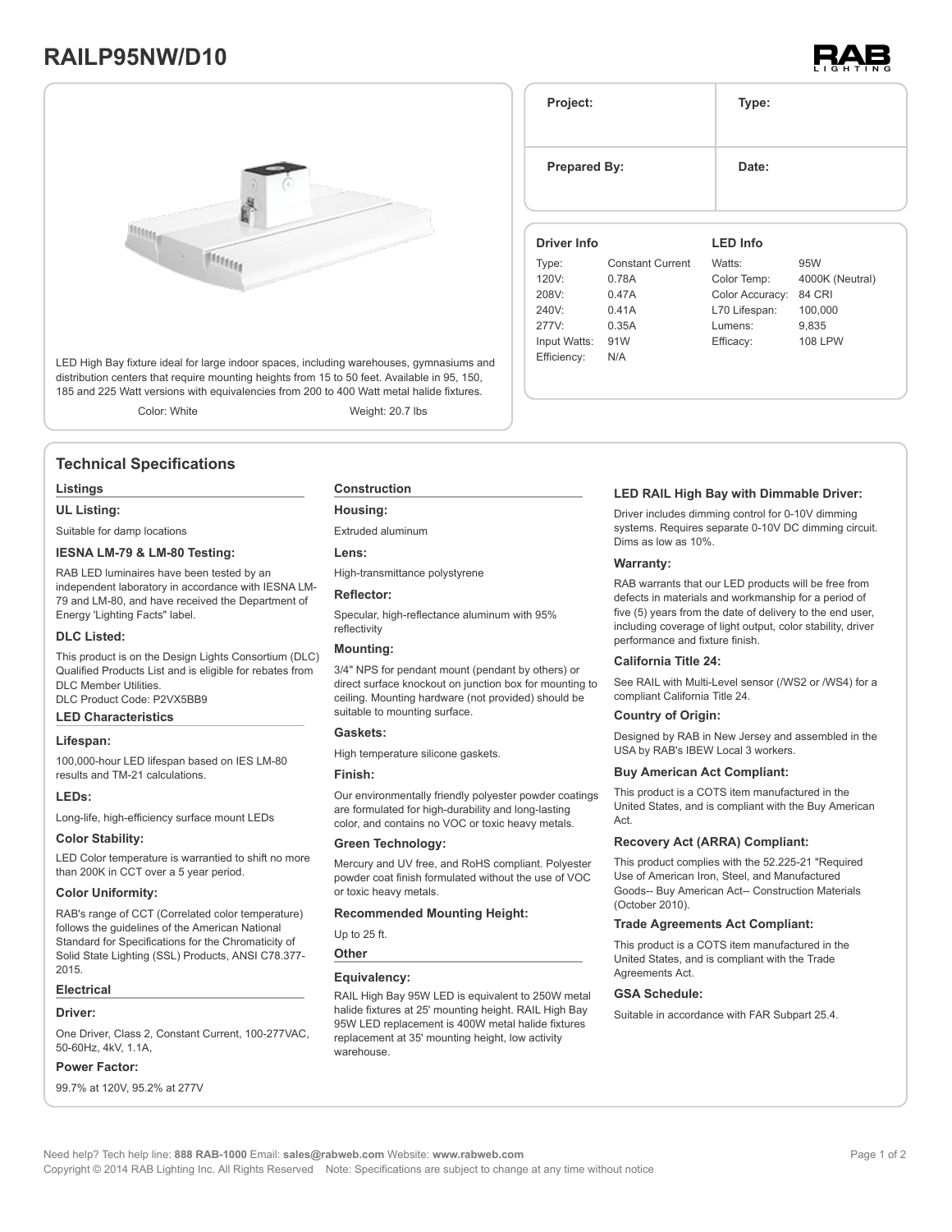# **RAILP95NW/D10**



LED High Bay fixture ideal for large indoor spaces, including warehouses, gymnasiums and distribution centers that require mounting heights from 15 to 50 feet. Available in 95, 150, 185 and 225 Watt versions with equivalencies from 200 to 400 Watt metal halide fixtures.

Color: White Weight: 20.7 lbs

# **Technical Specifications**

#### **Listings**

**UL Listing:**

Suitable for damp locations

#### **IESNA LM-79 & LM-80 Testing:**

RAB LED luminaires have been tested by an independent laboratory in accordance with IESNA LM-79 and LM-80, and have received the Department of Energy 'Lighting Facts" label.

#### **DLC Listed:**

This product is on the Design Lights Consortium (DLC) Qualified Products List and is eligible for rebates from DLC Member Utilities.

DLC Product Code: P2VX5BB9

## **LED Characteristics**

#### **Lifespan:**

100,000-hour LED lifespan based on IES LM-80 results and TM-21 calculations.

#### **LEDs:**

Long-life, high-efficiency surface mount LEDs

### **Color Stability:**

LED Color temperature is warrantied to shift no more than 200K in CCT over a 5 year period.

#### **Color Uniformity:**

RAB's range of CCT (Correlated color temperature) follows the guidelines of the American National Standard for Specifications for the Chromaticity of Solid State Lighting (SSL) Products, ANSI C78.377- 2015.

#### **Electrical**

#### **Driver:**

One Driver, Class 2, Constant Current, 100-277VAC, 50-60Hz, 4kV, 1.1A,

#### **Power Factor:**

99.7% at 120V, 95.2% at 277V

#### **Construction**

**Housing:**

Extruded aluminum

**Lens:**

High-transmittance polystyrene

#### **Reflector:**

Specular, high-reflectance aluminum with 95% reflectivity

### **Mounting:**

3/4" NPS for pendant mount (pendant by others) or direct surface knockout on junction box for mounting to ceiling. Mounting hardware (not provided) should be suitable to mounting surface.

#### **Gaskets:**

High temperature silicone gaskets.

#### **Finish:**

Our environmentally friendly polyester powder coatings are formulated for high-durability and long-lasting color, and contains no VOC or toxic heavy metals.

#### **Green Technology:**

Mercury and UV free, and RoHS compliant. Polyester powder coat finish formulated without the use of VOC or toxic heavy metals.

#### **Recommended Mounting Height:**

Up to 25 ft.

**Other**

#### **Equivalency:**

RAIL High Bay 95W LED is equivalent to 250W metal halide fixtures at 25' mounting height. RAIL High Bay 95W LED replacement is 400W metal halide fixtures replacement at 35' mounting height, low activity warehouse.

|              | <b>Prepared By:</b>     |                 |                 |
|--------------|-------------------------|-----------------|-----------------|
| Driver Info  |                         | <b>LED Info</b> |                 |
| Type:        | <b>Constant Current</b> | Watts:          | 95W             |
| 120V:        | 0.78A                   | Color Temp:     | 4000K (Neutral) |
| 208V:        | 0.47A                   | Color Accuracy: | <b>84 CRI</b>   |
| 240V:        | 0.41A                   | L70 Lifespan:   | 100,000         |
| 277V         | 0.35A                   | Lumens:         | 9,835           |
| Input Watts: | 91W                     | Efficacy:       | 108 LPW         |
| Efficiency:  | N/A                     |                 |                 |

**Project: Type:**

#### **LED RAIL High Bay with Dimmable Driver:**

Driver includes dimming control for 0-10V dimming systems. Requires separate 0-10V DC dimming circuit. Dims as low as 10%.

#### **Warranty:**

RAB warrants that our LED products will be free from defects in materials and workmanship for a period of five (5) years from the date of delivery to the end user, including coverage of light output, color stability, driver performance and fixture finish.

#### **California Title 24:**

See RAIL with Multi-Level sensor (/WS2 or /WS4) for a compliant California Title 24.

#### **Country of Origin:**

Designed by RAB in New Jersey and assembled in the USA by RAB's IBEW Local 3 workers.

#### **Buy American Act Compliant:**

This product is a COTS item manufactured in the United States, and is compliant with the Buy American Act.

#### **Recovery Act (ARRA) Compliant:**

This product complies with the 52.225-21 "Required Use of American Iron, Steel, and Manufactured Goods-- Buy American Act-- Construction Materials (October 2010).

#### **Trade Agreements Act Compliant:**

This product is a COTS item manufactured in the United States, and is compliant with the Trade Agreements Act

### **GSA Schedule:**

Suitable in accordance with FAR Subpart 25.4.